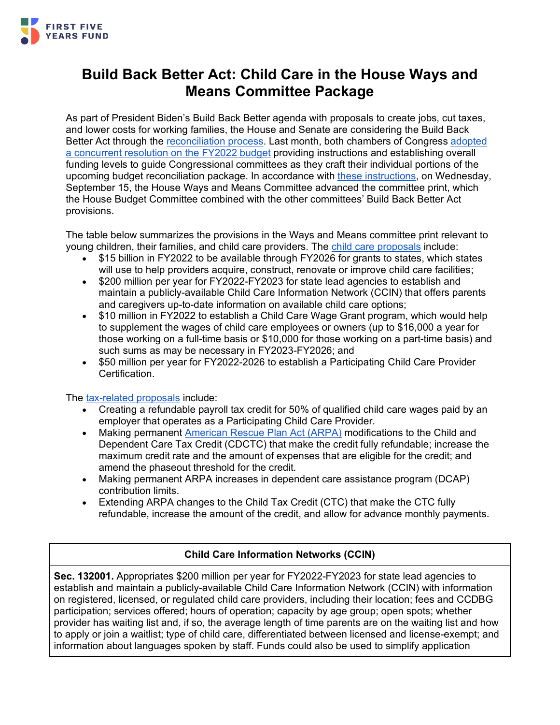

# **Build Back Better Act: Child Care in the House Ways and Means Committee Package**

As part of President Biden's Build Back Better agenda with proposals to create jobs, cut taxes, and lower costs for working families, the House and Senate are considering the Build Back Better Act through the [reconciliation process.](https://www.ffyf.org/understanding-the-process-congress-expected-to-move-forward-with-budget-reconciliation-to-pass-proposals-tied-to-president-bidens-american-families-plan/) Last month, both chambers of Congress [adopted](https://www.ffyf.org/house-of-representatives-advances-budget-resolution-to-make-significant-investments-in-child-care-and-preschool/)  [a concurrent resolution on the FY2022 budget](https://www.ffyf.org/house-of-representatives-advances-budget-resolution-to-make-significant-investments-in-child-care-and-preschool/) providing instructions and establishing overall funding levels to guide Congressional committees as they craft their individual portions of the upcoming budget reconciliation package. In accordance with [these instructions,](https://www.congress.gov/bill/117th-congress/senate-concurrent-resolution/14) on Wednesday, September 15, the House Ways and Means Committee advanced the committee print, which the House Budget Committee combined with the other committees' Build Back Better Act provisions.

The table below summarizes the provisions in the Ways and Means committee print relevant to young children, their families, and child care providers. The [child care proposals](https://waysandmeans.house.gov/sites/democrats.waysandmeans.house.gov/files/documents/Subtitle%20C%20Child%20Care%20Committee%20Print.pdf) include:

- \$15 billion in FY2022 to be available through FY2026 for grants to states, which states will use to help providers acquire, construct, renovate or improve child care facilities;
- \$200 million per year for FY2022-FY2023 for state lead agencies to establish and maintain a publicly-available Child Care Information Network (CCIN) that offers parents and caregivers up-to-date information on available child care options;
- \$10 million in FY2022 to establish a Child Care Wage Grant program, which would help to supplement the wages of child care employees or owners (up to \$16,000 a year for those working on a full-time basis or \$10,000 for those working on a part-time basis) and such sums as may be necessary in FY2023-FY2026; and
- \$50 million per year for FY2022-2026 to establish a Participating Child Care Provider Certification.

The [tax-related proposals](https://waysandmeans.house.gov/sites/democrats.waysandmeans.house.gov/files/documents/SUBFGHJ_xml.pdf) include:

- Creating a refundable payroll tax credit for 50% of qualified child care wages paid by an employer that operates as a Participating Child Care Provider.
- Making permanent [American Rescue Plan Act \(ARPA\)](https://www.ffyf.org/child-care-and-early-learning-in-the-american-rescue-plan/) modifications to the Child and Dependent Care Tax Credit (CDCTC) that make the credit fully refundable; increase the maximum credit rate and the amount of expenses that are eligible for the credit; and amend the phaseout threshold for the credit.
- Making permanent ARPA increases in dependent care assistance program (DCAP) contribution limits.
- Extending ARPA changes to the Child Tax Credit (CTC) that make the CTC fully refundable, increase the amount of the credit, and allow for advance monthly payments.

## **Child Care Information Networks (CCIN)**

**Sec. 132001.** Appropriates \$200 million per year for FY2022-FY2023 for state lead agencies to establish and maintain a publicly-available Child Care Information Network (CCIN) with information on registered, licensed, or regulated child care providers, including their location; fees and CCDBG participation; services offered; hours of operation; capacity by age group; open spots; whether provider has waiting list and, if so, the average length of time parents are on the waiting list and how to apply or join a waitlist; type of child care, differentiated between licensed and license-exempt; and information about languages spoken by staff. Funds could also be used to simplify application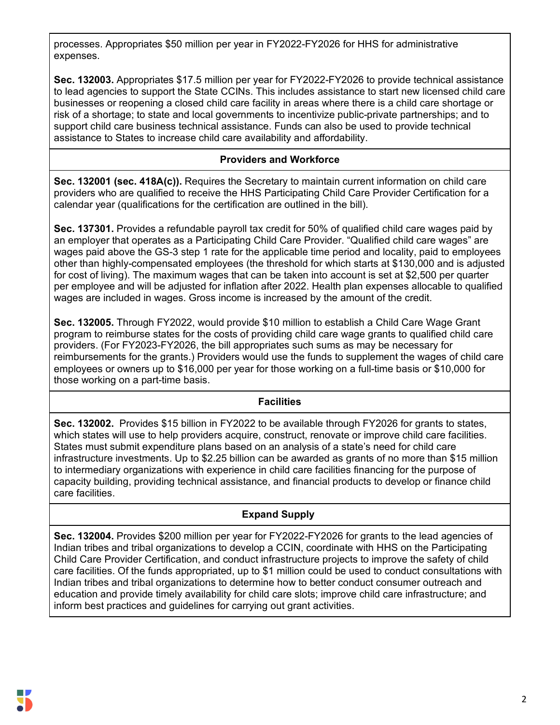processes. Appropriates \$50 million per year in FY2022-FY2026 for HHS for administrative expenses.

**Sec. 132003.** Appropriates \$17.5 million per year for FY2022-FY2026 to provide technical assistance to lead agencies to support the State CCINs. This includes assistance to start new licensed child care businesses or reopening a closed child care facility in areas where there is a child care shortage or risk of a shortage; to state and local governments to incentivize public-private partnerships; and to support child care business technical assistance. Funds can also be used to provide technical assistance to States to increase child care availability and affordability.

#### **Providers and Workforce**

**Sec. 132001 (sec. 418A(c)).** Requires the Secretary to maintain current information on child care providers who are qualified to receive the HHS Participating Child Care Provider Certification for a calendar year (qualifications for the certification are outlined in the bill).

**Sec. 137301.** Provides a refundable payroll tax credit for 50% of qualified child care wages paid by an employer that operates as a Participating Child Care Provider. "Qualified child care wages" are wages paid above the GS-3 step 1 rate for the applicable time period and locality, paid to employees other than highly-compensated employees (the threshold for which starts at \$130,000 and is adjusted for cost of living). The maximum wages that can be taken into account is set at \$2,500 per quarter per employee and will be adjusted for inflation after 2022. Health plan expenses allocable to qualified wages are included in wages. Gross income is increased by the amount of the credit.

**Sec. 132005.** Through FY2022, would provide \$10 million to establish a Child Care Wage Grant program to reimburse states for the costs of providing child care wage grants to qualified child care providers. (For FY2023-FY2026, the bill appropriates such sums as may be necessary for reimbursements for the grants.) Providers would use the funds to supplement the wages of child care employees or owners up to \$16,000 per year for those working on a full-time basis or \$10,000 for those working on a part-time basis.

#### **Facilities**

**Sec. 132002.** Provides \$15 billion in FY2022 to be available through FY2026 for grants to states, which states will use to help providers acquire, construct, renovate or improve child care facilities. States must submit expenditure plans based on an analysis of a state's need for child care infrastructure investments. Up to \$2.25 billion can be awarded as grants of no more than \$15 million to intermediary organizations with experience in child care facilities financing for the purpose of capacity building, providing technical assistance, and financial products to develop or finance child care facilities.

### **Expand Supply**

**Sec. 132004.** Provides \$200 million per year for FY2022-FY2026 for grants to the lead agencies of Indian tribes and tribal organizations to develop a CCIN, coordinate with HHS on the Participating Child Care Provider Certification, and conduct infrastructure projects to improve the safety of child care facilities. Of the funds appropriated, up to \$1 million could be used to conduct consultations with Indian tribes and tribal organizations to determine how to better conduct consumer outreach and education and provide timely availability for child care slots; improve child care infrastructure; and inform best practices and guidelines for carrying out grant activities.